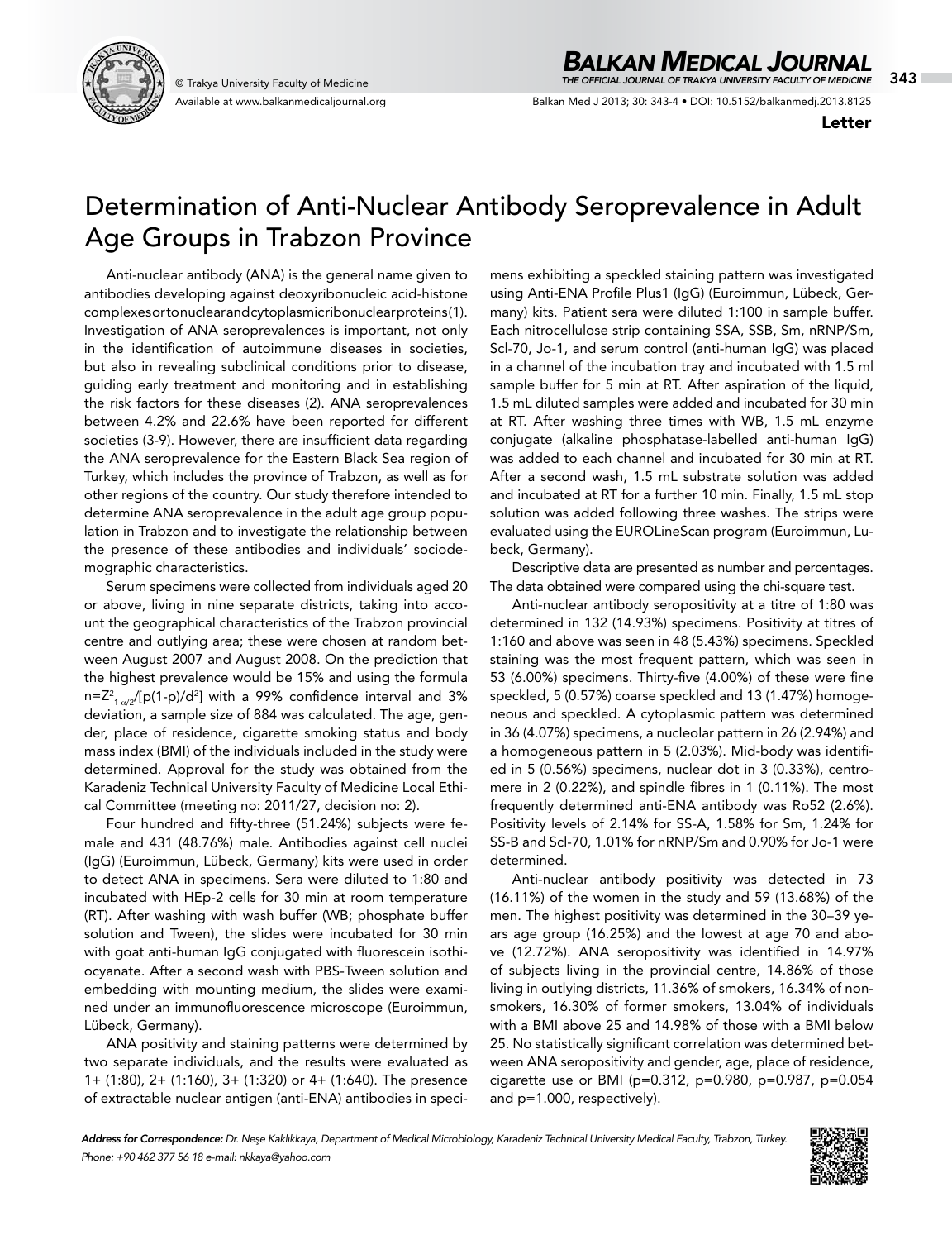

Available at www.balkanmedicaljournal.org

## *BALKAN MEDICAL JOURNAL*

© Trakya University Faculty of Medicine 343 *THE OFFICIAL JOURNAL OF TRAKYA UNIVERSITY FACULTY OF MEDICINE*

Balkan Med J 2013; 30: 343-4 • DOI: 10.5152/balkanmedj.2013.8125

Letter

## Determination of Anti-Nuclear Antibody Seroprevalence in Adult Age Groups in Trabzon Province

Anti-nuclear antibody (ANA) is the general name given to antibodies developing against deoxyribonucleic acid-histone complexes or to nuclear and cytoplasmic ribonuclear proteins (1). Investigation of ANA seroprevalences is important, not only in the identification of autoimmune diseases in societies, but also in revealing subclinical conditions prior to disease, guiding early treatment and monitoring and in establishing the risk factors for these diseases (2). ANA seroprevalences between 4.2% and 22.6% have been reported for different societies (3-9). However, there are insufficient data regarding the ANA seroprevalence for the Eastern Black Sea region of Turkey, which includes the province of Trabzon, as well as for other regions of the country. Our study therefore intended to determine ANA seroprevalence in the adult age group population in Trabzon and to investigate the relationship between the presence of these antibodies and individuals' sociodemographic characteristics.

Serum specimens were collected from individuals aged 20 or above, living in nine separate districts, taking into account the geographical characteristics of the Trabzon provincial centre and outlying area; these were chosen at random between August 2007 and August 2008. On the prediction that the highest prevalence would be 15% and using the formula n=Z $^2$ <sub>1-α/2</sub>/[p(1-p)/d $^2$ ] with a 99% confidence interval and 3% deviation, a sample size of 884 was calculated. The age, gender, place of residence, cigarette smoking status and body mass index (BMI) of the individuals included in the study were determined. Approval for the study was obtained from the Karadeniz Technical University Faculty of Medicine Local Ethical Committee (meeting no: 2011/27, decision no: 2).

Four hundred and fifty-three (51.24%) subjects were female and 431 (48.76%) male. Antibodies against cell nuclei (IgG) (Euroimmun, Lübeck, Germany) kits were used in order to detect ANA in specimens. Sera were diluted to 1:80 and incubated with HEp-2 cells for 30 min at room temperature (RT). After washing with wash buffer (WB; phosphate buffer solution and Tween), the slides were incubated for 30 min with goat anti-human IgG conjugated with fluorescein isothiocyanate. After a second wash with PBS-Tween solution and embedding with mounting medium, the slides were examined under an immunofluorescence microscope (Euroimmun, Lübeck, Germany).

ANA positivity and staining patterns were determined by two separate individuals, and the results were evaluated as 1+ (1:80), 2+ (1:160), 3+ (1:320) or 4+ (1:640). The presence of extractable nuclear antigen (anti-ENA) antibodies in specimens exhibiting a speckled staining pattern was investigated using Anti-ENA Profile Plus1 (IgG) (Euroimmun, Lübeck, Germany) kits. Patient sera were diluted 1:100 in sample buffer. Each nitrocellulose strip containing SSA, SSB, Sm, nRNP/Sm, Scl-70, Jo-1, and serum control (anti-human IgG) was placed in a channel of the incubation tray and incubated with 1.5 ml sample buffer for 5 min at RT. After aspiration of the liquid, 1.5 mL diluted samples were added and incubated for 30 min at RT. After washing three times with WB, 1.5 mL enzyme conjugate (alkaline phosphatase-labelled anti-human IgG) was added to each channel and incubated for 30 min at RT. After a second wash, 1.5 mL substrate solution was added and incubated at RT for a further 10 min. Finally, 1.5 mL stop solution was added following three washes. The strips were evaluated using the EUROLineScan program (Euroimmun, Lubeck, Germany).

Descriptive data are presented as number and percentages. The data obtained were compared using the chi-square test.

Anti-nuclear antibody seropositivity at a titre of 1:80 was determined in 132 (14.93%) specimens. Positivity at titres of 1:160 and above was seen in 48 (5.43%) specimens. Speckled staining was the most frequent pattern, which was seen in 53 (6.00%) specimens. Thirty-five (4.00%) of these were fine speckled, 5 (0.57%) coarse speckled and 13 (1.47%) homogeneous and speckled. A cytoplasmic pattern was determined in 36 (4.07%) specimens, a nucleolar pattern in 26 (2.94%) and a homogeneous pattern in 5 (2.03%). Mid-body was identified in 5 (0.56%) specimens, nuclear dot in 3 (0.33%), centromere in 2 (0.22%), and spindle fibres in 1 (0.11%). The most frequently determined anti-ENA antibody was Ro52 (2.6%). Positivity levels of 2.14% for SS-A, 1.58% for Sm, 1.24% for SS-B and Scl-70, 1.01% for nRNP/Sm and 0.90% for Jo-1 were determined.

Anti-nuclear antibody positivity was detected in 73 (16.11%) of the women in the study and 59 (13.68%) of the men. The highest positivity was determined in the 30−39 years age group (16.25%) and the lowest at age 70 and above (12.72%). ANA seropositivity was identified in 14.97% of subjects living in the provincial centre, 14.86% of those living in outlying districts, 11.36% of smokers, 16.34% of nonsmokers, 16.30% of former smokers, 13.04% of individuals with a BMI above 25 and 14.98% of those with a BMI below 25. No statistically significant correlation was determined between ANA seropositivity and gender, age, place of residence, cigarette use or BMI (p=0.312, p=0.980, p=0.987, p=0.054 and p=1.000, respectively).

*Address for Correspondence: Dr. Neşe Kaklıkkaya, Department of Medical Microbiology, Karadeniz Technical University Medical Faculty, Trabzon, Turkey. Phone: +90 462 377 56 18 e-mail: nkkaya@yahoo.com*